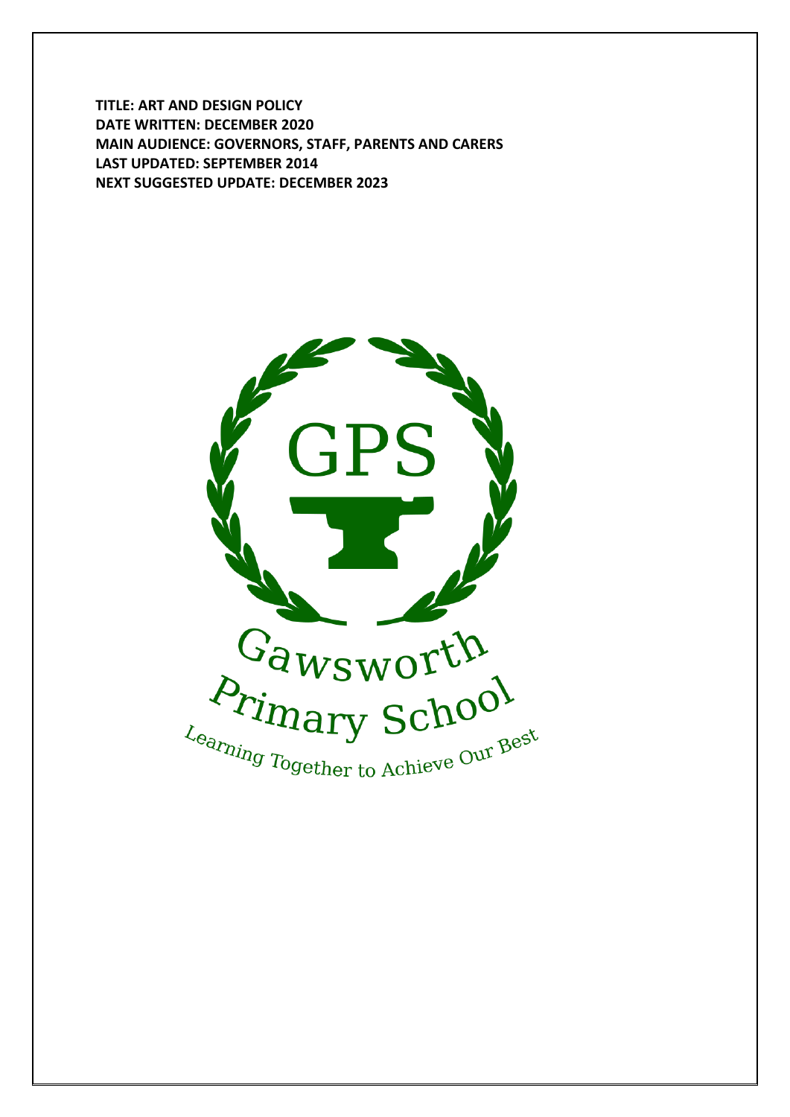**TITLE: ART AND DESIGN POLICY DATE WRITTEN: DECEMBER 2020 MAIN AUDIENCE: GOVERNORS, STAFF, PARENTS AND CARERS LAST UPDATED: SEPTEMBER 2014 NEXT SUGGESTED UPDATE: DECEMBER 2023**

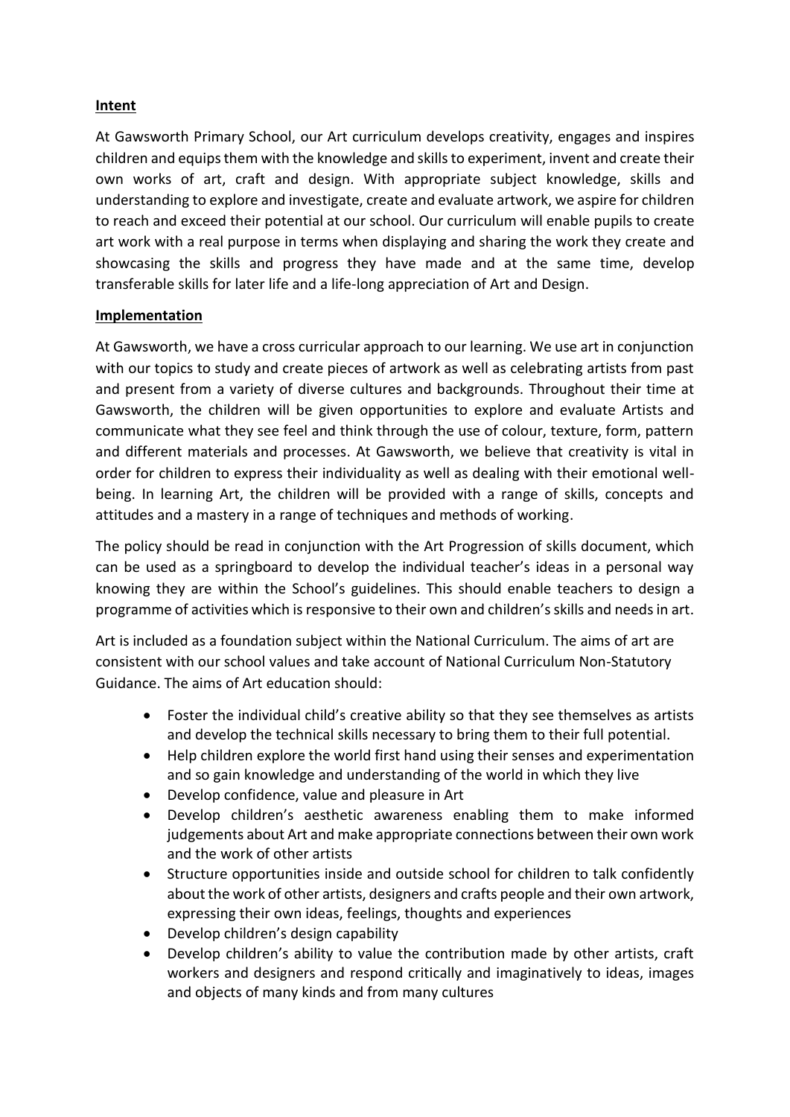# **Intent**

At Gawsworth Primary School, our Art curriculum develops creativity, engages and inspires children and equips them with the knowledge and skills to experiment, invent and create their own works of art, craft and design. With appropriate subject knowledge, skills and understanding to explore and investigate, create and evaluate artwork, we aspire for children to reach and exceed their potential at our school. Our curriculum will enable pupils to create art work with a real purpose in terms when displaying and sharing the work they create and showcasing the skills and progress they have made and at the same time, develop transferable skills for later life and a life-long appreciation of Art and Design.

#### **Implementation**

At Gawsworth, we have a cross curricular approach to our learning. We use art in conjunction with our topics to study and create pieces of artwork as well as celebrating artists from past and present from a variety of diverse cultures and backgrounds. Throughout their time at Gawsworth, the children will be given opportunities to explore and evaluate Artists and communicate what they see feel and think through the use of colour, texture, form, pattern and different materials and processes. At Gawsworth, we believe that creativity is vital in order for children to express their individuality as well as dealing with their emotional wellbeing. In learning Art, the children will be provided with a range of skills, concepts and attitudes and a mastery in a range of techniques and methods of working.

The policy should be read in conjunction with the Art Progression of skills document, which can be used as a springboard to develop the individual teacher's ideas in a personal way knowing they are within the School's guidelines. This should enable teachers to design a programme of activities which is responsive to their own and children's skills and needs in art.

Art is included as a foundation subject within the National Curriculum. The aims of art are consistent with our school values and take account of National Curriculum Non-Statutory Guidance. The aims of Art education should:

- Foster the individual child's creative ability so that they see themselves as artists and develop the technical skills necessary to bring them to their full potential.
- Help children explore the world first hand using their senses and experimentation and so gain knowledge and understanding of the world in which they live
- Develop confidence, value and pleasure in Art
- Develop children's aesthetic awareness enabling them to make informed judgements about Art and make appropriate connections between their own work and the work of other artists
- Structure opportunities inside and outside school for children to talk confidently about the work of other artists, designers and crafts people and their own artwork, expressing their own ideas, feelings, thoughts and experiences
- Develop children's design capability
- Develop children's ability to value the contribution made by other artists, craft workers and designers and respond critically and imaginatively to ideas, images and objects of many kinds and from many cultures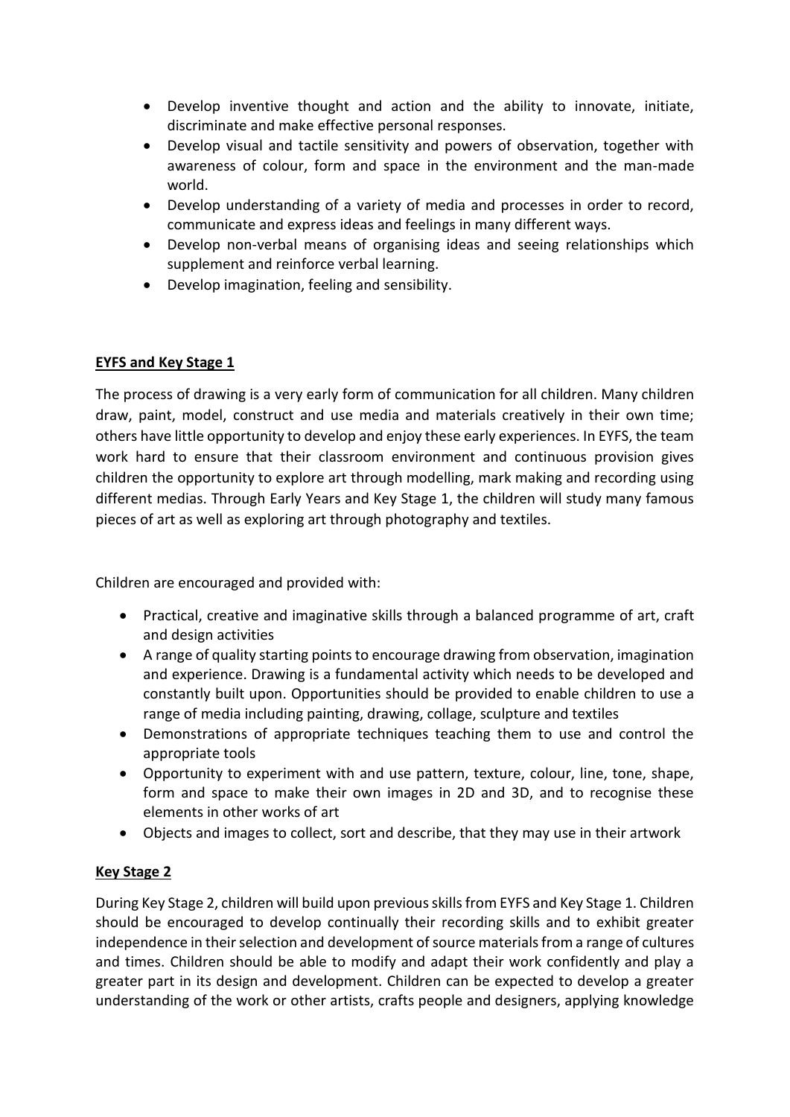- Develop inventive thought and action and the ability to innovate, initiate, discriminate and make effective personal responses.
- Develop visual and tactile sensitivity and powers of observation, together with awareness of colour, form and space in the environment and the man-made world.
- Develop understanding of a variety of media and processes in order to record, communicate and express ideas and feelings in many different ways.
- Develop non-verbal means of organising ideas and seeing relationships which supplement and reinforce verbal learning.
- Develop imagination, feeling and sensibility.

# **EYFS and Key Stage 1**

The process of drawing is a very early form of communication for all children. Many children draw, paint, model, construct and use media and materials creatively in their own time; others have little opportunity to develop and enjoy these early experiences. In EYFS, the team work hard to ensure that their classroom environment and continuous provision gives children the opportunity to explore art through modelling, mark making and recording using different medias. Through Early Years and Key Stage 1, the children will study many famous pieces of art as well as exploring art through photography and textiles.

Children are encouraged and provided with:

- Practical, creative and imaginative skills through a balanced programme of art, craft and design activities
- A range of quality starting points to encourage drawing from observation, imagination and experience. Drawing is a fundamental activity which needs to be developed and constantly built upon. Opportunities should be provided to enable children to use a range of media including painting, drawing, collage, sculpture and textiles
- Demonstrations of appropriate techniques teaching them to use and control the appropriate tools
- Opportunity to experiment with and use pattern, texture, colour, line, tone, shape, form and space to make their own images in 2D and 3D, and to recognise these elements in other works of art
- Objects and images to collect, sort and describe, that they may use in their artwork

# **Key Stage 2**

During Key Stage 2, children will build upon previous skills from EYFS and Key Stage 1. Children should be encouraged to develop continually their recording skills and to exhibit greater independence in their selection and development of source materials from a range of cultures and times. Children should be able to modify and adapt their work confidently and play a greater part in its design and development. Children can be expected to develop a greater understanding of the work or other artists, crafts people and designers, applying knowledge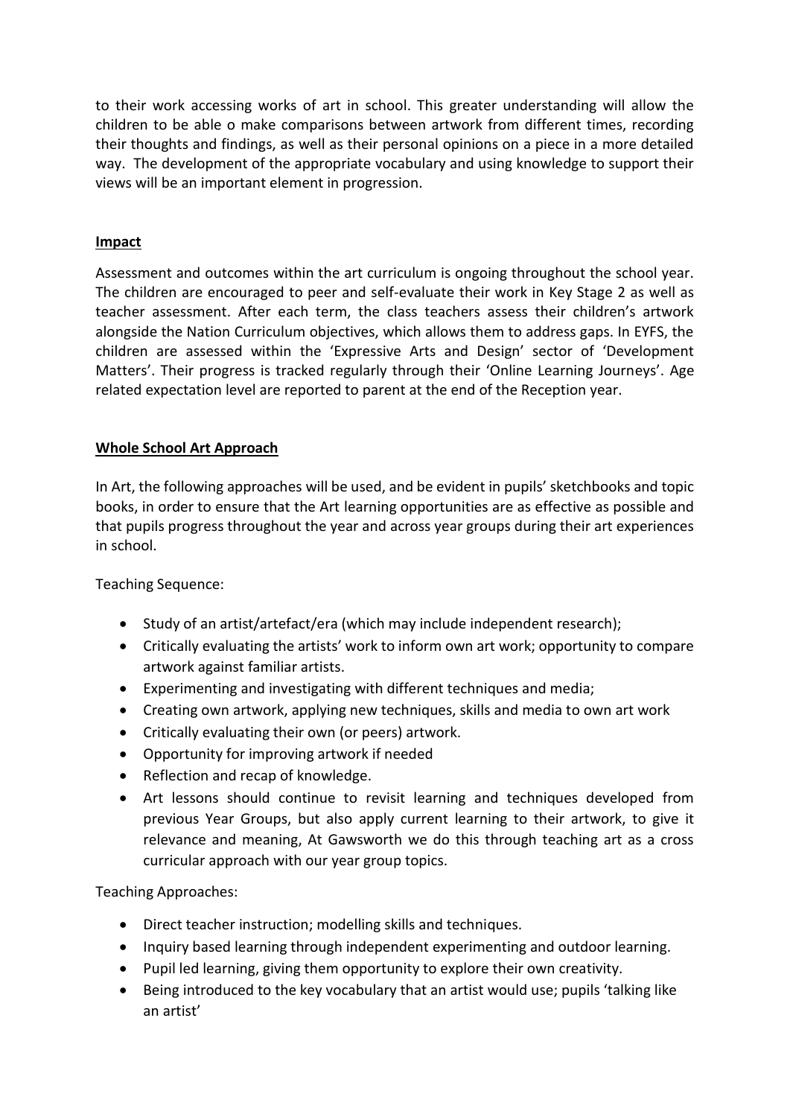to their work accessing works of art in school. This greater understanding will allow the children to be able o make comparisons between artwork from different times, recording their thoughts and findings, as well as their personal opinions on a piece in a more detailed way. The development of the appropriate vocabulary and using knowledge to support their views will be an important element in progression.

# **Impact**

Assessment and outcomes within the art curriculum is ongoing throughout the school year. The children are encouraged to peer and self-evaluate their work in Key Stage 2 as well as teacher assessment. After each term, the class teachers assess their children's artwork alongside the Nation Curriculum objectives, which allows them to address gaps. In EYFS, the children are assessed within the 'Expressive Arts and Design' sector of 'Development Matters'. Their progress is tracked regularly through their 'Online Learning Journeys'. Age related expectation level are reported to parent at the end of the Reception year.

#### **Whole School Art Approach**

In Art, the following approaches will be used, and be evident in pupils' sketchbooks and topic books, in order to ensure that the Art learning opportunities are as effective as possible and that pupils progress throughout the year and across year groups during their art experiences in school.

Teaching Sequence:

- Study of an artist/artefact/era (which may include independent research);
- Critically evaluating the artists' work to inform own art work; opportunity to compare artwork against familiar artists.
- Experimenting and investigating with different techniques and media;
- Creating own artwork, applying new techniques, skills and media to own art work
- Critically evaluating their own (or peers) artwork.
- Opportunity for improving artwork if needed
- Reflection and recap of knowledge.
- Art lessons should continue to revisit learning and techniques developed from previous Year Groups, but also apply current learning to their artwork, to give it relevance and meaning, At Gawsworth we do this through teaching art as a cross curricular approach with our year group topics.

Teaching Approaches:

- Direct teacher instruction; modelling skills and techniques.
- Inquiry based learning through independent experimenting and outdoor learning.
- Pupil led learning, giving them opportunity to explore their own creativity.
- Being introduced to the key vocabulary that an artist would use; pupils 'talking like an artist'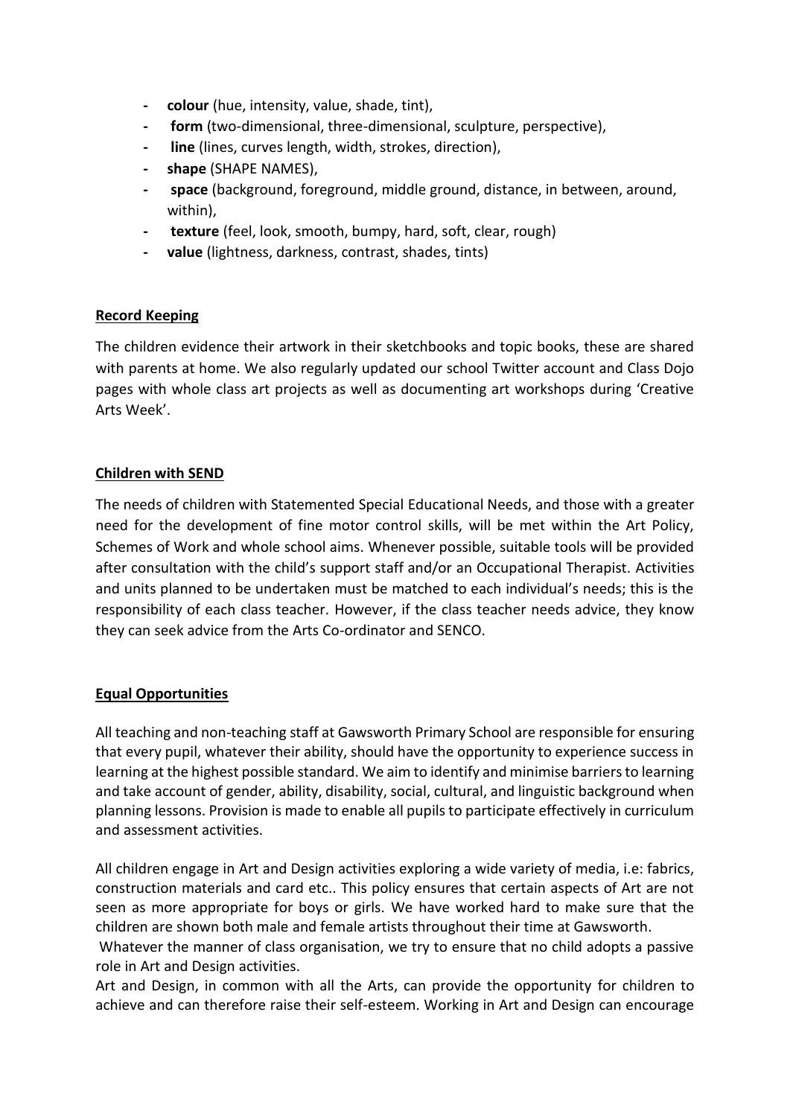- **- colour** (hue, intensity, value, shade, tint),
- **- form** (two-dimensional, three-dimensional, sculpture, perspective),
- **- line** (lines, curves length, width, strokes, direction),
- **- shape** (SHAPE NAMES),
- **- space** (background, foreground, middle ground, distance, in between, around, within),
- **- texture** (feel, look, smooth, bumpy, hard, soft, clear, rough)
- **- value** (lightness, darkness, contrast, shades, tints)

# **Record Keeping**

The children evidence their artwork in their sketchbooks and topic books, these are shared with parents at home. We also regularly updated our school Twitter account and Class Dojo pages with whole class art projects as well as documenting art workshops during 'Creative Arts Week'.

# **Children with SEND**

The needs of children with Statemented Special Educational Needs, and those with a greater need for the development of fine motor control skills, will be met within the Art Policy, Schemes of Work and whole school aims. Whenever possible, suitable tools will be provided after consultation with the child's support staff and/or an Occupational Therapist. Activities and units planned to be undertaken must be matched to each individual's needs; this is the responsibility of each class teacher. However, if the class teacher needs advice, they know they can seek advice from the Arts Co-ordinator and SENCO.

# **Equal Opportunities**

All teaching and non-teaching staff at Gawsworth Primary School are responsible for ensuring that every pupil, whatever their ability, should have the opportunity to experience success in learning at the highest possible standard. We aim to identify and minimise barriers to learning and take account of gender, ability, disability, social, cultural, and linguistic background when planning lessons. Provision is made to enable all pupils to participate effectively in curriculum and assessment activities.

All children engage in Art and Design activities exploring a wide variety of media, i.e: fabrics, construction materials and card etc.. This policy ensures that certain aspects of Art are not seen as more appropriate for boys or girls. We have worked hard to make sure that the children are shown both male and female artists throughout their time at Gawsworth.

Whatever the manner of class organisation, we try to ensure that no child adopts a passive role in Art and Design activities.

Art and Design, in common with all the Arts, can provide the opportunity for children to achieve and can therefore raise their self-esteem. Working in Art and Design can encourage